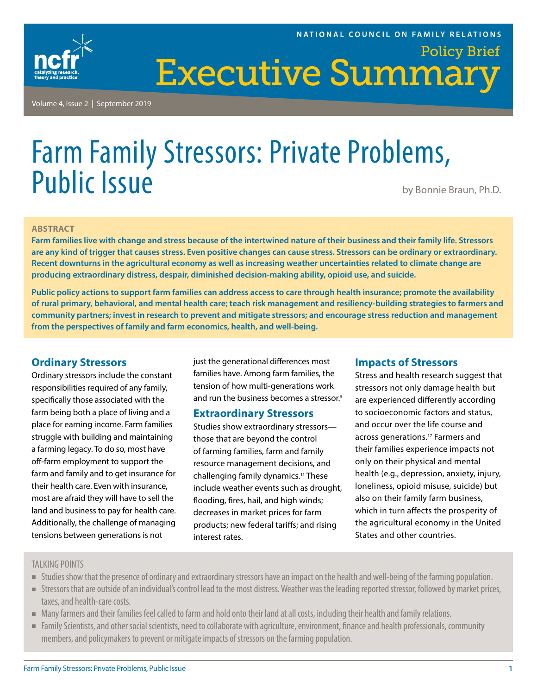

Volume 4, Issue 2 | September 2019

# Farm Family Stressors: Private Problems, Public Issue by Bonnie Braun, Ph.D.

#### **ABSTRACT**

**Farm families live with change and stress because of the intertwined nature of their business and their family life. Stressors are any kind of trigger that causes stress. Even positive changes can cause stress. Stressors can be ordinary or extraordinary. Recent downturns in the agricultural economy as well as increasing weather uncertainties related to climate change are producing extraordinary distress, despair, diminished decision-making ability, opioid use, and suicide.**

**Public policy actions to support farm families can address access to care through health insurance; promote the availability of rural primary, behavioral, and mental health care; teach risk management and resiliency-building strategies to farmers and community partners; invest in research to prevent and mitigate stressors; and encourage stress reduction and management from the perspectives of family and farm economics, health, and well-being.**

# **Ordinary Stressors**

Ordinary stressors include the constant responsibilities required of any family, specifically those associated with the farm being both a place of living and a place for earning income. Farm families struggle with building and maintaining a farming legacy. To do so, most have off-farm employment to support the farm and family and to get insurance for their health care. Even with insurance, most are afraid they will have to sell the land and business to pay for health care. Additionally, the challenge of managing tensions between generations is not

just the generational differences most families have. Among farm families, the tension of how multi-generations work and run the business becomes a stressor.<sup>5</sup>

### **Extraordinary Stressors**

Studies show extraordinary stressors those that are beyond the control of farming families, farm and family resource management decisions, and challenging family dynamics.11 These include weather events such as drought, flooding, fires, hail, and high winds; decreases in market prices for farm products; new federal tariffs; and rising interest rates.

# **Impacts of Stressors**

Stress and health research suggest that stressors not only damage health but are experienced differently according to socioeconomic factors and status, and occur over the life course and across generations.17 Farmers and their families experience impacts not only on their physical and mental health (e.g., depression, anxiety, injury, loneliness, opioid misuse, suicide) but also on their family farm business, which in turn affects the prosperity of the agricultural economy in the United States and other countries.

## TALKING POINTS

- **Studies show that the presence of ordinary and extraordinary stressors have an impact on the health and well-being of the farming population.**
- Stressors that are outside of an individual's control lead to the most distress. Weather was the leading reported stressor, followed by market prices, taxes, and health-care costs.
- $\blacksquare$  Many farmers and their families feel called to farm and hold onto their land at all costs, including their health and family relations.
- <sup>n</sup>Family Scientists, and other social scientists, need to collaborate with agriculture, environment, finance and health professionals, community members, and policymakers to prevent or mitigate impacts of stressors on the farming population.